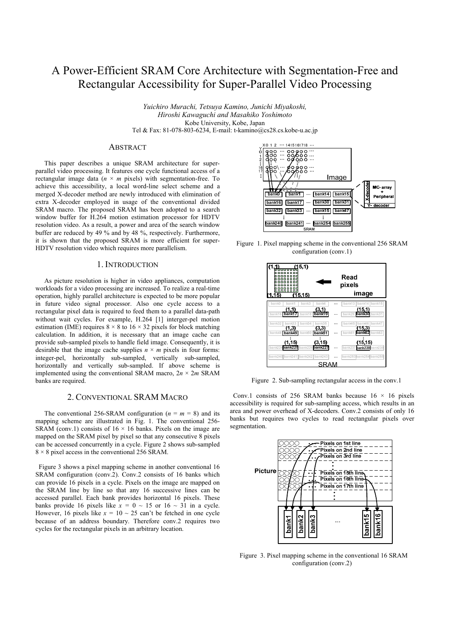# A Power-Efficient SRAM Core Architecture with Segmentation-Free and Rectangular Accessibility for Super-Parallel Video Processing

*Yuichiro Murachi, Tetsuya Kamino, Junichi Miyakoshi, Hiroshi Kawaguchi and Masahiko Yoshimoto* Kobe University, Kobe, Japan Tel & Fax: 81-078-803-6234, E-mail: t-kamino@cs28.cs.kobe-u.ac.jp

#### **ABSTRACT**

This paper describes a unique SRAM architecture for superparallel video processing. It features one cycle functional access of a rectangular image data  $(n \times m)$  pixels) with segmentation-free. To achieve this accessibility, a local word-line select scheme and a merged X-decoder method are newly introduced with elimination of extra X-decoder employed in usage of the conventional divided SRAM macro. The proposed SRAM has been adopted to a search window buffer for H.264 motion estimation processor for HDTV resolution video. As a result, a power and area of the search window buffer are reduced by 49 % and by 48 %, respectively. Furthermore, it is shown that the proposed SRAM is more efficient for super-HDTV resolution video which requires more parallelism.

### 1. INTRODUCTION

As picture resolution is higher in video appliances, computation workloads for a video processing are increased. To realize a real-time operation, highly parallel architecture is expected to be more popular in future video signal processor. Also one cycle access to a rectangular pixel data is required to feed them to a parallel data-path without wait cycles. For example, H.264 [1] interger-pel motion estimation (IME) requires  $8 \times 8$  to  $16 \times 32$  pixels for block matching calculation. In addition, it is necessary that an image cache can provide sub-sampled pixels to handle field image. Consequently, it is desirable that the image cache supplies  $n \times m$  pixels in four forms: integer-pel, horizontally sub-sampled, vertically sub-sampled, horizontally and vertically sub-sampled. If above scheme is implemented using the conventional SRAM macro,  $2n \times 2m$  SRAM banks are required.

## 2. CONVENTIONAL SRAM MACRO

The conventional 256-SRAM configuration  $(n = m = 8)$  and its mapping scheme are illustrated in Fig. 1. The conventional 256- SRAM (conv.1) consists of  $16 \times 16$  banks. Pixels on the image are mapped on the SRAM pixel by pixel so that any consecutive 8 pixels can be accessed concurrently in a cycle. Figure 2 shows sub-sampled  $8 \times 8$  pixel access in the conventional 256 SRAM.

Figure 3 shows a pixel mapping scheme in another conventional 16 SRAM configuration (conv.2). Conv.2 consists of 16 banks which can provide 16 pixels in a cycle. Pixels on the image are mapped on the SRAM line by line so that any 16 successive lines can be accessed parallel. Each bank provides horizontal 16 pixels. These banks provide 16 pixels like  $x = 0 \sim 15$  or  $16 \sim 31$  in a cycle. However, 16 pixels like  $x = 10 \sim 25$  can't be fetched in one cycle because of an address boundary. Therefore conv.2 requires two cycles for the rectangular pixels in an arbitrary location.



Figure 1. Pixel mapping scheme in the conventional 256 SRAM configuration (conv.1)



Figure 2. Sub-sampling rectangular access in the conv.1

Conv.1 consists of 256 SRAM banks because  $16 \times 16$  pixels accessibility is required for sub-sampling access, which results in an area and power overhead of X-decoders. Conv.2 consists of only 16 banks but requires two cycles to read rectangular pixels over segmentation.



Figure 3. Pixel mapping scheme in the conventional 16 SRAM configuration (conv.2)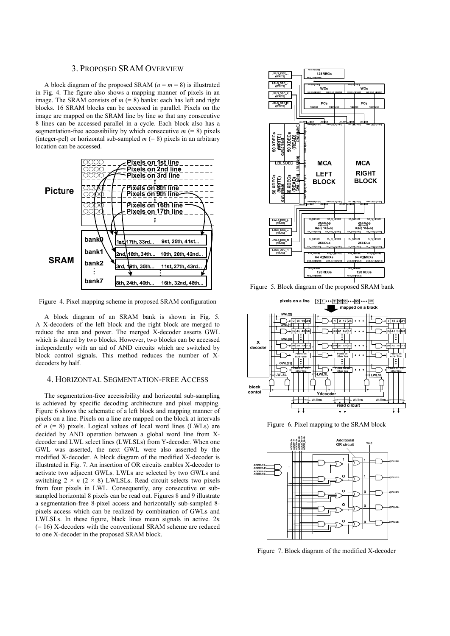#### 3. PROPOSED SRAM OVERVIEW

A block diagram of the proposed SRAM ( $n = m = 8$ ) is illustrated in Fig. 4. The figure also shows a mapping manner of pixels in an image. The SRAM consists of  $m (= 8)$  banks: each has left and right blocks. 16 SRAM blocks can be accessed in parallel. Pixels on the image are mapped on the SRAM line by line so that any consecutive 8 lines can be accessed parallel in a cycle. Each block also has a segmentation-free accessibility by which consecutive  $m$  (= 8) pixels (integer-pel) or horizontal sub-sampled  $m (= 8)$  pixels in an arbitrary location can be accessed.



Figure 4. Pixel mapping scheme in proposed SRAM configuration

A block diagram of an SRAM bank is shown in Fig. 5. A X-decoders of the left block and the right block are merged to reduce the area and power. The merged X-decoder asserts GWL which is shared by two blocks. However, two blocks can be accessed independently with an aid of AND circuits which are switched by block control signals. This method reduces the number of Xdecoders by half.

### 4. HORIZONTAL SEGMENTATION-FREE ACCESS

The segmentation-free accessibility and horizontal sub-sampling is achieved by specific decoding architecture and pixel mapping. Figure 6 shows the schematic of a left block and mapping manner of pixels on a line. Pixels on a line are mapped on the block at intervals of  $n (= 8)$  pixels. Logical values of local word lines (LWLs) are decided by AND operation between a global word line from Xdecoder and LWL select lines (LWLSLs) from Y-decoder. When one GWL was asserted, the next GWL were also asserted by the modified X-decoder. A block diagram of the modified X-decoder is illustrated in Fig. 7. An insertion of OR circuits enables X-decoder to activate two adjacent GWLs. LWLs are selected by two GWLs and switching  $2 \times n$  ( $2 \times 8$ ) LWLSLs. Read circuit selects two pixels from four pixels in LWL. Consequently, any consecutive or subsampled horizontal 8 pixels can be read out. Figures 8 and 9 illustrate a segmentation-free 8-pixel access and horizontally sub-sampled 8 pixels access which can be realized by combination of GWLs and LWLSLs. In these figure, black lines mean signals in active. 2*n* (= 16) X-decoders with the conventional SRAM scheme are reduced to one X-decoder in the proposed SRAM block.



Figure 5. Block diagram of the proposed SRAM bank



Figure 6. Pixel mapping to the SRAM block



Figure 7. Block diagram of the modified X-decoder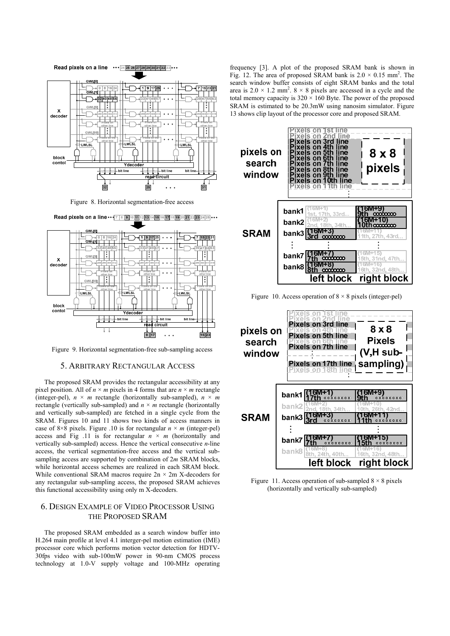

Figure 8. Horizontal segmentation-free access



Figure 9. Horizontal segmentation-free sub-sampling access

#### 5. ARBITRARY RECTANGULAR ACCESS

The proposed SRAM provides the rectangular accessibility at any pixel position. All of  $n \times m$  pixels in 4 forms that are  $n \times m$  rectangle (integer-pel),  $n \times m$  rectangle (horizontally sub-sampled),  $n \times m$ rectangle (vertically sub-sampled) and  $n \times m$  rectangle (horizontally and vertically sub-sampled) are fetched in a single cycle from the SRAM. Figures 10 and 11 shows two kinds of access manners in case of  $8\times8$  pixels. Figure .10 is for rectangular  $n \times m$  (integer-pel) access and Fig  $.11$  is for rectangular  $n \times m$  (horizontally and vertically sub-sampled) access. Hence the vertical consecutive *n*-line access, the vertical segmentation-free access and the vertical subsampling access are supported by combination of 2*m* SRAM blocks, while horizontal access schemes are realized in each SRAM block. While conventional SRAM macros require  $2n \times 2m$  X-decoders for any rectangular sub-sampling access, the proposed SRAM achieves this functional accessibility using only m X-decoders.

# 6. DESIGN EXAMPLE OF VIDEO PROCESSOR USING THE PROPOSED SRAM

The proposed SRAM embedded as a search window buffer into H.264 main profile at level 4.1 interger-pel motion estimation (IME) processor core which performs motion vector detection for HDTV-30fps video with sub-100mW power in 90-nm CMOS process technology at 1.0-V supply voltage and 100-MHz operating

frequency [3]. A plot of the proposed SRAM bank is shown in Fig. 12. The area of proposed SRAM bank is  $2.0 \times 0.15$  mm<sup>2</sup>. The search window buffer consists of eight SRAM banks and the total area is  $2.0 \times 1.2$  mm<sup>2</sup>.  $8 \times 8$  pixels are accessed in a cycle and the total memory capacity is  $320 \times 160$  Byte. The power of the proposed SRAM is estimated to be 20.3mW using nanosim simulator. Figure 13 shows clip layout of the processor core and proposed SRAM.



Figure 10. Access operation of  $8 \times 8$  pixels (integer-pel)



Figure 11. Access operation of sub-sampled  $8 \times 8$  pixels (horizontally and vertically sub-sampled)